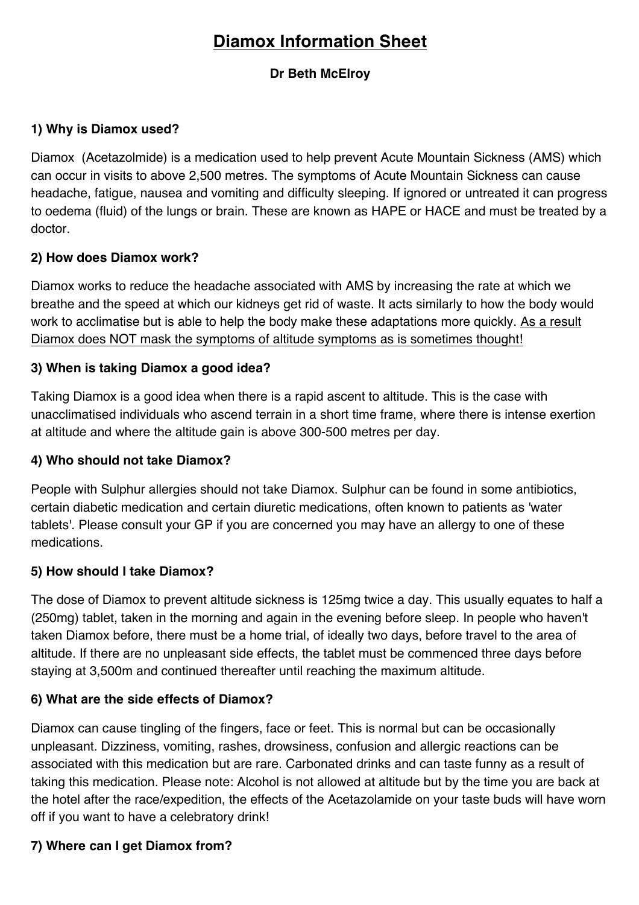# **Diamox Information Sheet**

## **Dr Beth McElroy**

#### **1) Why is Diamox used?**

Diamox (Acetazolmide) is a medication used to help prevent Acute Mountain Sickness (AMS) which can occur in visits to above 2,500 metres. The symptoms of Acute Mountain Sickness can cause headache, fatigue, nausea and vomiting and difficulty sleeping. If ignored or untreated it can progress to oedema (fluid) of the lungs or brain. These are known as HAPE or HACE and must be treated by a doctor.

## **2) How does Diamox work?**

Diamox works to reduce the headache associated with AMS by increasing the rate at which we breathe and the speed at which our kidneys get rid of waste. It acts similarly to how the body would work to acclimatise but is able to help the body make these adaptations more quickly. As a result Diamox does NOT mask the symptoms of altitude symptoms as is sometimes thought!

## **3) When is taking Diamox a good idea?**

Taking Diamox is a good idea when there is a rapid ascent to altitude. This is the case with unacclimatised individuals who ascend terrain in a short time frame, where there is intense exertion at altitude and where the altitude gain is above 300-500 metres per day.

#### **4) Who should not take Diamox?**

People with Sulphur allergies should not take Diamox. Sulphur can be found in some antibiotics, certain diabetic medication and certain diuretic medications, often known to patients as 'water tablets'. Please consult your GP if you are concerned you may have an allergy to one of these medications.

#### **5) How should I take Diamox?**

The dose of Diamox to prevent altitude sickness is 125mg twice a day. This usually equates to half a (250mg) tablet, taken in the morning and again in the evening before sleep. In people who haven't taken Diamox before, there must be a home trial, of ideally two days, before travel to the area of altitude. If there are no unpleasant side effects, the tablet must be commenced three days before staying at 3,500m and continued thereafter until reaching the maximum altitude.

#### **6) What are the side effects of Diamox?**

Diamox can cause tingling of the fingers, face or feet. This is normal but can be occasionally unpleasant. Dizziness, vomiting, rashes, drowsiness, confusion and allergic reactions can be associated with this medication but are rare. Carbonated drinks and can taste funny as a result of taking this medication. Please note: Alcohol is not allowed at altitude but by the time you are back at the hotel after the race/expedition, the effects of the Acetazolamide on your taste buds will have worn off if you want to have a celebratory drink!

# **7) Where can I get Diamox from?**